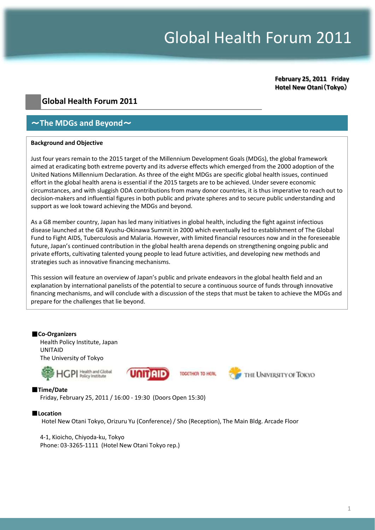# Global Health Forum 2011

**February 25, 2011 Friday Hotel New Otani**(**Tokyo**)

### **Global Health Forum 2011**

## $\sim$  The MDGs and Beyond  $\sim$

#### **Background and Objective**

Just four years remain to the 2015 target of the Millennium Development Goals (MDGs), the global framework aimed at eradicating both extreme poverty and its adverse effects which emerged from the 2000 adoption of the United Nations Millennium Declaration. As three of the eight MDGs are specific global health issues, continued effort in the global health arena is essential if the 2015 targets are to be achieved. Under severe economic circumstances, and with sluggish ODA contributions from many donor countries, it is thus imperative to reach out to decision-makers and influential figures in both public and private spheres and to secure public understanding and support as we look toward achieving the MDGs and beyond.

As a G8 member country, Japan has led many initiatives in global health, including the fight against infectious disease launched at the G8 Kyushu-Okinawa Summit in 2000 which eventually led to establishment of The Global Fund to Fight AIDS, Tuberculosis and Malaria. However, with limited financial resources now and in the foreseeable future, Japan's continued contribution in the global health arena depends on strengthening ongoing public and private efforts, cultivating talented young people to lead future activities, and developing new methods and strategies such as innovative financing mechanisms.

This session will feature an overview of Japan's public and private endeavors in the global health field and an explanation by international panelists of the potential to secure a continuous source of funds through innovative financing mechanisms, and will conclude with a discussion of the steps that must be taken to achieve the MDGs and prepare for the challenges that lie beyond.

#### ■**Co-Organizers**

Health Policy Institute, Japan UNITAID The University of Tokyo







THE UNIVERSITY OF TOKYO

#### ■**Time/Date**

Friday, February 25, 2011 / 16:00 - 19:30 (Doors Open 15:30)

#### ■**Location**

Hotel New Otani Tokyo, Orizuru Yu (Conference) / Sho (Reception), The Main Bldg. Arcade Floor

4-1, Kioicho, Chiyoda-ku, Tokyo Phone: 03-3265-1111 (Hotel New Otani Tokyo rep.)